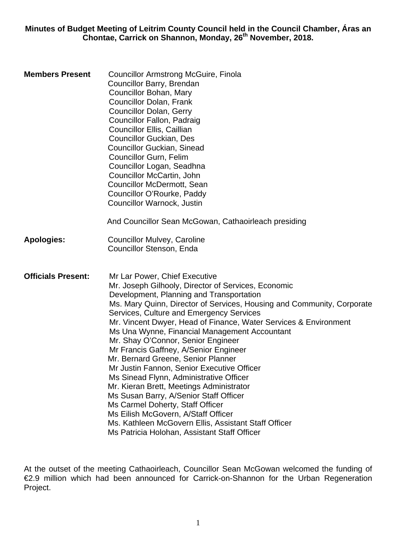**Minutes of Budget Meeting of Leitrim County Council held in the Council Chamber, Áras an Chontae, Carrick on Shannon, Monday, 26th November, 2018.** 

**Members Present** Councillor Armstrong McGuire, Finola Councillor Barry, Brendan Councillor Bohan, Mary Councillor Dolan, Frank Councillor Dolan, Gerry Councillor Fallon, Padraig Councillor Ellis, Caillian Councillor Guckian, Des Councillor Guckian, Sinead Councillor Gurn, Felim Councillor Logan, Seadhna Councillor McCartin, John Councillor McDermott, Sean Councillor O'Rourke, Paddy Councillor Warnock, Justin And Councillor Sean McGowan, Cathaoirleach presiding **Apologies:** Councillor Mulvey, Caroline Councillor Stenson, Enda **Officials Present:** Mr Lar Power, Chief Executive Mr. Joseph Gilhooly, Director of Services, Economic Development, Planning and Transportation Ms. Mary Quinn, Director of Services, Housing and Community, Corporate Services, Culture and Emergency Services Mr. Vincent Dwyer, Head of Finance, Water Services & Environment Ms Una Wynne, Financial Management Accountant Mr. Shay O'Connor, Senior Engineer Mr Francis Gaffney, A/Senior Engineer Mr. Bernard Greene, Senior Planner Mr Justin Fannon, Senior Executive Officer Ms Sinead Flynn, Administrative Officer Mr. Kieran Brett, Meetings Administrator Ms Susan Barry, A/Senior Staff Officer Ms Carmel Doherty, Staff Officer Ms Eilish McGovern, A/Staff Officer Ms. Kathleen McGovern Ellis, Assistant Staff Officer Ms Patricia Holohan, Assistant Staff Officer

At the outset of the meeting Cathaoirleach, Councillor Sean McGowan welcomed the funding of €2.9 million which had been announced for Carrick-on-Shannon for the Urban Regeneration Project.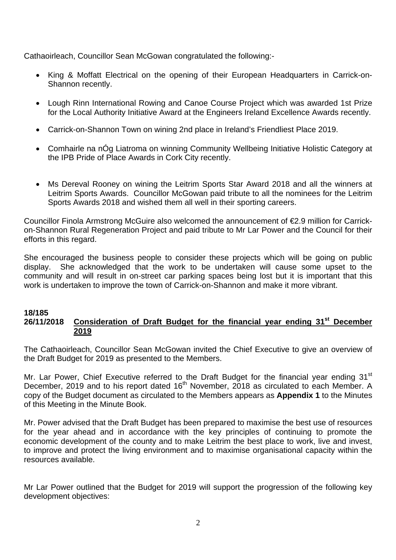Cathaoirleach, Councillor Sean McGowan congratulated the following:-

- King & Moffatt Electrical on the opening of their European Headquarters in Carrick-on-Shannon recently.
- Lough Rinn International Rowing and Canoe Course Project which was awarded 1st Prize for the Local Authority Initiative Award at the Engineers Ireland Excellence Awards recently.
- Carrick-on-Shannon Town on wining 2nd place in Ireland's Friendliest Place 2019.
- Comhairle na nÓg Liatroma on winning Community Wellbeing Initiative Holistic Category at the IPB Pride of Place Awards in Cork City recently.
- Ms Dereval Rooney on wining the Leitrim Sports Star Award 2018 and all the winners at Leitrim Sports Awards. Councillor McGowan paid tribute to all the nominees for the Leitrim Sports Awards 2018 and wished them all well in their sporting careers.

Councillor Finola Armstrong McGuire also welcomed the announcement of €2.9 million for Carrickon-Shannon Rural Regeneration Project and paid tribute to Mr Lar Power and the Council for their efforts in this regard.

She encouraged the business people to consider these projects which will be going on public display. She acknowledged that the work to be undertaken will cause some upset to the community and will result in on-street car parking spaces being lost but it is important that this work is undertaken to improve the town of Carrick-on-Shannon and make it more vibrant.

#### **18/185 26/11/2018 Consideration of Draft Budget for the financial year ending 31st December 2019**

The Cathaoirleach, Councillor Sean McGowan invited the Chief Executive to give an overview of the Draft Budget for 2019 as presented to the Members.

Mr. Lar Power, Chief Executive referred to the Draft Budget for the financial year ending 31<sup>st</sup> December, 2019 and to his report dated 16<sup>th</sup> November, 2018 as circulated to each Member. A copy of the Budget document as circulated to the Members appears as **Appendix 1** to the Minutes of this Meeting in the Minute Book.

Mr. Power advised that the Draft Budget has been prepared to maximise the best use of resources for the year ahead and in accordance with the key principles of continuing to promote the economic development of the county and to make Leitrim the best place to work, live and invest, to improve and protect the living environment and to maximise organisational capacity within the resources available.

Mr Lar Power outlined that the Budget for 2019 will support the progression of the following key development objectives: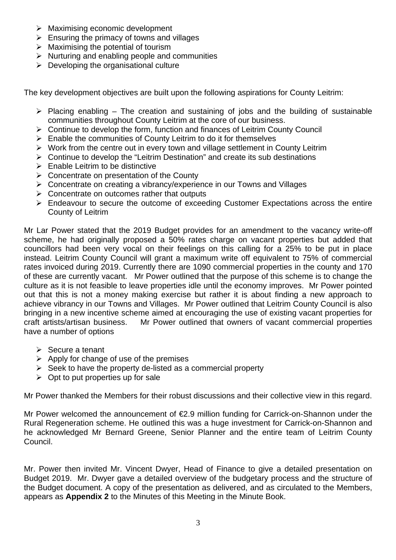- $\triangleright$  Maximising economic development
- $\triangleright$  Ensuring the primacy of towns and villages
- $\triangleright$  Maximising the potential of tourism
- $\triangleright$  Nurturing and enabling people and communities
- $\triangleright$  Developing the organisational culture

The key development objectives are built upon the following aspirations for County Leitrim:

- $\triangleright$  Placing enabling The creation and sustaining of jobs and the building of sustainable communities throughout County Leitrim at the core of our business.
- ¾ Continue to develop the form, function and finances of Leitrim County Council
- $\triangleright$  Enable the communities of County Leitrim to do it for themselves
- $\triangleright$  Work from the centre out in every town and village settlement in County Leitrim
- $\triangleright$  Continue to develop the "Leitrim Destination" and create its sub destinations
- $\triangleright$  Enable Leitrim to be distinctive
- $\triangleright$  Concentrate on presentation of the County
- $\triangleright$  Concentrate on creating a vibrancy/experience in our Towns and Villages
- $\triangleright$  Concentrate on outcomes rather that outputs
- $\triangleright$  Endeavour to secure the outcome of exceeding Customer Expectations across the entire County of Leitrim

Mr Lar Power stated that the 2019 Budget provides for an amendment to the vacancy write-off scheme, he had originally proposed a 50% rates charge on vacant properties but added that councillors had been very vocal on their feelings on this calling for a 25% to be put in place instead. Leitrim County Council will grant a maximum write off equivalent to 75% of commercial rates invoiced during 2019. Currently there are 1090 commercial properties in the county and 170 of these are currently vacant. Mr Power outlined that the purpose of this scheme is to change the culture as it is not feasible to leave properties idle until the economy improves. Mr Power pointed out that this is not a money making exercise but rather it is about finding a new approach to achieve vibrancy in our Towns and Villages. Mr Power outlined that Leitrim County Council is also bringing in a new incentive scheme aimed at encouraging the use of existing vacant properties for craft artists/artisan business. Mr Power outlined that owners of vacant commercial properties have a number of options

- $\triangleright$  Secure a tenant
- $\triangleright$  Apply for change of use of the premises
- $\triangleright$  Seek to have the property de-listed as a commercial property
- $\triangleright$  Opt to put properties up for sale

Mr Power thanked the Members for their robust discussions and their collective view in this regard.

Mr Power welcomed the announcement of €2.9 million funding for Carrick-on-Shannon under the Rural Regeneration scheme. He outlined this was a huge investment for Carrick-on-Shannon and he acknowledged Mr Bernard Greene, Senior Planner and the entire team of Leitrim County Council.

Mr. Power then invited Mr. Vincent Dwyer, Head of Finance to give a detailed presentation on Budget 2019. Mr. Dwyer gave a detailed overview of the budgetary process and the structure of the Budget document. A copy of the presentation as delivered, and as circulated to the Members, appears as **Appendix 2** to the Minutes of this Meeting in the Minute Book.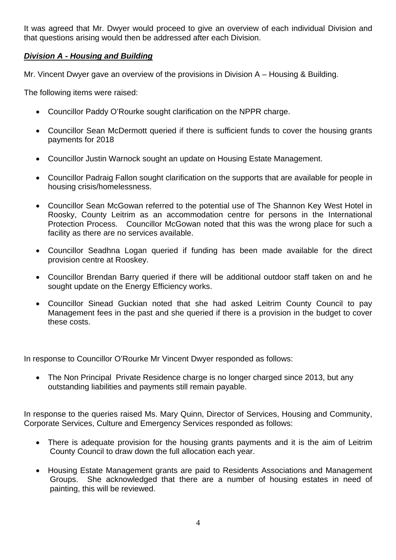It was agreed that Mr. Dwyer would proceed to give an overview of each individual Division and that questions arising would then be addressed after each Division.

### *Division A - Housing and Building*

Mr. Vincent Dwyer gave an overview of the provisions in Division A – Housing & Building.

The following items were raised:

- Councillor Paddy O'Rourke sought clarification on the NPPR charge.
- Councillor Sean McDermott queried if there is sufficient funds to cover the housing grants payments for 2018
- Councillor Justin Warnock sought an update on Housing Estate Management.
- Councillor Padraig Fallon sought clarification on the supports that are available for people in housing crisis/homelessness.
- Councillor Sean McGowan referred to the potential use of The Shannon Key West Hotel in Roosky, County Leitrim as an accommodation centre for persons in the International Protection Process. Councillor McGowan noted that this was the wrong place for such a facility as there are no services available.
- Councillor Seadhna Logan queried if funding has been made available for the direct provision centre at Rooskey.
- Councillor Brendan Barry queried if there will be additional outdoor staff taken on and he sought update on the Energy Efficiency works.
- Councillor Sinead Guckian noted that she had asked Leitrim County Council to pay Management fees in the past and she queried if there is a provision in the budget to cover these costs.

In response to Councillor O'Rourke Mr Vincent Dwyer responded as follows:

• The Non Principal Private Residence charge is no longer charged since 2013, but any outstanding liabilities and payments still remain payable.

In response to the queries raised Ms. Mary Quinn, Director of Services, Housing and Community, Corporate Services, Culture and Emergency Services responded as follows:

- There is adequate provision for the housing grants payments and it is the aim of Leitrim County Council to draw down the full allocation each year.
- Housing Estate Management grants are paid to Residents Associations and Management Groups. She acknowledged that there are a number of housing estates in need of painting, this will be reviewed.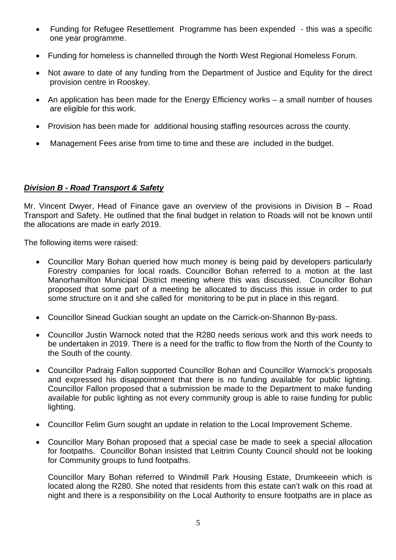- Funding for Refugee Resettlement Programme has been expended this was a specific one year programme.
- Funding for homeless is channelled through the North West Regional Homeless Forum.
- Not aware to date of any funding from the Department of Justice and Equlity for the direct provision centre in Rooskey.
- An application has been made for the Energy Efficiency works a small number of houses are eligible for this work.
- Provision has been made for additional housing staffing resources across the county.
- Management Fees arise from time to time and these are included in the budget.

### *Division B - Road Transport & Safety*

Mr. Vincent Dwyer, Head of Finance gave an overview of the provisions in Division B – Road Transport and Safety. He outlined that the final budget in relation to Roads will not be known until the allocations are made in early 2019.

The following items were raised:

- Councillor Mary Bohan queried how much money is being paid by developers particularly Forestry companies for local roads. Councillor Bohan referred to a motion at the last Manorhamilton Municipal District meeting where this was discussed. Councillor Bohan proposed that some part of a meeting be allocated to discuss this issue in order to put some structure on it and she called for monitoring to be put in place in this regard.
- Councillor Sinead Guckian sought an update on the Carrick-on-Shannon By-pass.
- Councillor Justin Warnock noted that the R280 needs serious work and this work needs to be undertaken in 2019. There is a need for the traffic to flow from the North of the County to the South of the county.
- Councillor Padraig Fallon supported Councillor Bohan and Councillor Warnock's proposals and expressed his disappointment that there is no funding available for public lighting. Councillor Fallon proposed that a submission be made to the Department to make funding available for public lighting as not every community group is able to raise funding for public lighting.
- Councillor Felim Gurn sought an update in relation to the Local Improvement Scheme.
- Councillor Mary Bohan proposed that a special case be made to seek a special allocation for footpaths. Councillor Bohan insisted that Leitrim County Council should not be looking for Community groups to fund footpaths.

Councillor Mary Bohan referred to Windmill Park Housing Estate, Drumkeeein which is located along the R280. She noted that residents from this estate can't walk on this road at night and there is a responsibility on the Local Authority to ensure footpaths are in place as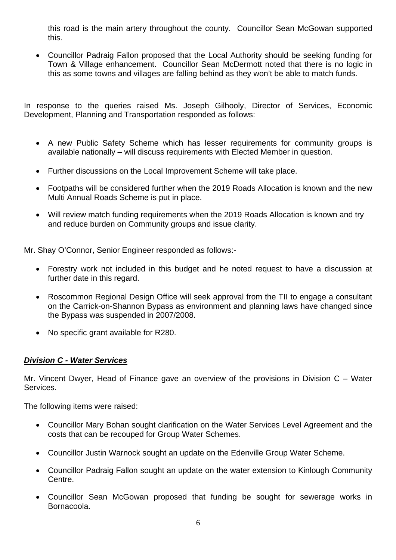this road is the main artery throughout the county. Councillor Sean McGowan supported this.

• Councillor Padraig Fallon proposed that the Local Authority should be seeking funding for Town & Village enhancement. Councillor Sean McDermott noted that there is no logic in this as some towns and villages are falling behind as they won't be able to match funds.

In response to the queries raised Ms. Joseph Gilhooly, Director of Services, Economic Development, Planning and Transportation responded as follows:

- A new Public Safety Scheme which has lesser requirements for community groups is available nationally – will discuss requirements with Elected Member in question.
- Further discussions on the Local Improvement Scheme will take place.
- Footpaths will be considered further when the 2019 Roads Allocation is known and the new Multi Annual Roads Scheme is put in place.
- Will review match funding requirements when the 2019 Roads Allocation is known and try and reduce burden on Community groups and issue clarity.

Mr. Shay O'Connor, Senior Engineer responded as follows:-

- Forestry work not included in this budget and he noted request to have a discussion at further date in this regard.
- Roscommon Regional Design Office will seek approval from the TII to engage a consultant on the Carrick-on-Shannon Bypass as environment and planning laws have changed since the Bypass was suspended in 2007/2008.
- No specific grant available for R280.

### *Division C - Water Services*

Mr. Vincent Dwyer, Head of Finance gave an overview of the provisions in Division C – Water Services.

The following items were raised:

- Councillor Mary Bohan sought clarification on the Water Services Level Agreement and the costs that can be recouped for Group Water Schemes.
- Councillor Justin Warnock sought an update on the Edenville Group Water Scheme.
- Councillor Padraig Fallon sought an update on the water extension to Kinlough Community Centre.
- Councillor Sean McGowan proposed that funding be sought for sewerage works in Bornacoola.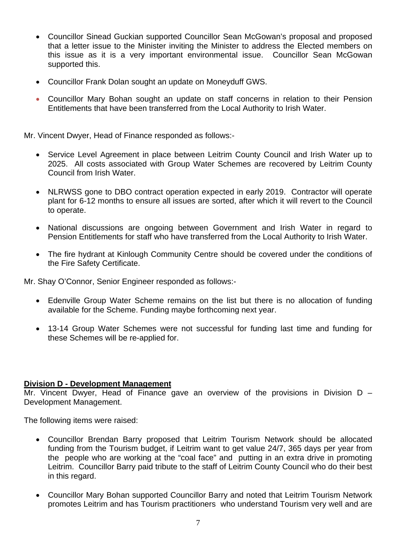- Councillor Sinead Guckian supported Councillor Sean McGowan's proposal and proposed that a letter issue to the Minister inviting the Minister to address the Elected members on this issue as it is a very important environmental issue. Councillor Sean McGowan supported this.
- Councillor Frank Dolan sought an update on Moneyduff GWS.
- Councillor Mary Bohan sought an update on staff concerns in relation to their Pension Entitlements that have been transferred from the Local Authority to Irish Water.

Mr. Vincent Dwyer, Head of Finance responded as follows:-

- Service Level Agreement in place between Leitrim County Council and Irish Water up to 2025. All costs associated with Group Water Schemes are recovered by Leitrim County Council from Irish Water.
- NLRWSS gone to DBO contract operation expected in early 2019. Contractor will operate plant for 6-12 months to ensure all issues are sorted, after which it will revert to the Council to operate.
- National discussions are ongoing between Government and Irish Water in regard to Pension Entitlements for staff who have transferred from the Local Authority to Irish Water.
- The fire hydrant at Kinlough Community Centre should be covered under the conditions of the Fire Safety Certificate.

Mr. Shay O'Connor, Senior Engineer responded as follows:-

- Edenville Group Water Scheme remains on the list but there is no allocation of funding available for the Scheme. Funding maybe forthcoming next year.
- 13-14 Group Water Schemes were not successful for funding last time and funding for these Schemes will be re-applied for.

#### **Division D - Development Management**

Mr. Vincent Dwyer, Head of Finance gave an overview of the provisions in Division D – Development Management.

The following items were raised:

- Councillor Brendan Barry proposed that Leitrim Tourism Network should be allocated funding from the Tourism budget, if Leitrim want to get value 24/7, 365 days per year from the people who are working at the "coal face" and putting in an extra drive in promoting Leitrim. Councillor Barry paid tribute to the staff of Leitrim County Council who do their best in this regard.
- Councillor Mary Bohan supported Councillor Barry and noted that Leitrim Tourism Network promotes Leitrim and has Tourism practitioners who understand Tourism very well and are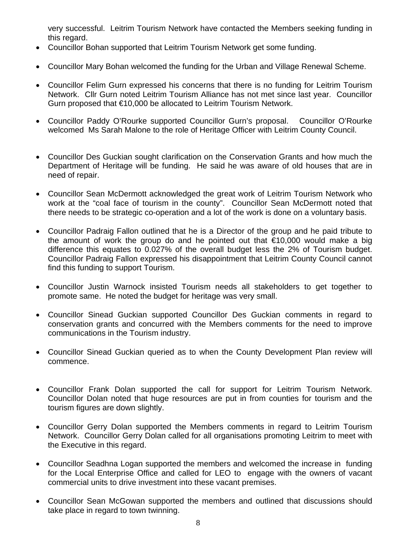very successful. Leitrim Tourism Network have contacted the Members seeking funding in this regard.

- Councillor Bohan supported that Leitrim Tourism Network get some funding.
- Councillor Mary Bohan welcomed the funding for the Urban and Village Renewal Scheme.
- Councillor Felim Gurn expressed his concerns that there is no funding for Leitrim Tourism Network. Cllr Gurn noted Leitrim Tourism Alliance has not met since last year. Councillor Gurn proposed that €10,000 be allocated to Leitrim Tourism Network.
- Councillor Paddy O'Rourke supported Councillor Gurn's proposal. Councillor O'Rourke welcomed Ms Sarah Malone to the role of Heritage Officer with Leitrim County Council.
- Councillor Des Guckian sought clarification on the Conservation Grants and how much the Department of Heritage will be funding. He said he was aware of old houses that are in need of repair.
- Councillor Sean McDermott acknowledged the great work of Leitrim Tourism Network who work at the "coal face of tourism in the county". Councillor Sean McDermott noted that there needs to be strategic co-operation and a lot of the work is done on a voluntary basis.
- Councillor Padraig Fallon outlined that he is a Director of the group and he paid tribute to the amount of work the group do and he pointed out that  $\epsilon$ 10,000 would make a big difference this equates to 0.027% of the overall budget less the 2% of Tourism budget. Councillor Padraig Fallon expressed his disappointment that Leitrim County Council cannot find this funding to support Tourism.
- Councillor Justin Warnock insisted Tourism needs all stakeholders to get together to promote same. He noted the budget for heritage was very small.
- Councillor Sinead Guckian supported Councillor Des Guckian comments in regard to conservation grants and concurred with the Members comments for the need to improve communications in the Tourism industry.
- Councillor Sinead Guckian queried as to when the County Development Plan review will commence.
- Councillor Frank Dolan supported the call for support for Leitrim Tourism Network. Councillor Dolan noted that huge resources are put in from counties for tourism and the tourism figures are down slightly.
- Councillor Gerry Dolan supported the Members comments in regard to Leitrim Tourism Network. Councillor Gerry Dolan called for all organisations promoting Leitrim to meet with the Executive in this regard.
- Councillor Seadhna Logan supported the members and welcomed the increase in funding for the Local Enterprise Office and called for LEO to engage with the owners of vacant commercial units to drive investment into these vacant premises.
- Councillor Sean McGowan supported the members and outlined that discussions should take place in regard to town twinning.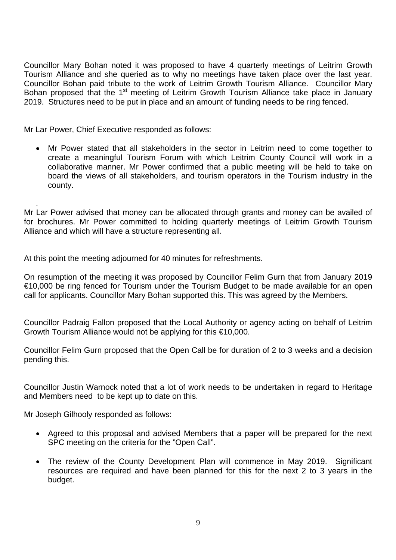Councillor Mary Bohan noted it was proposed to have 4 quarterly meetings of Leitrim Growth Tourism Alliance and she queried as to why no meetings have taken place over the last year. Councillor Bohan paid tribute to the work of Leitrim Growth Tourism Alliance. Councillor Mary Bohan proposed that the 1<sup>st</sup> meeting of Leitrim Growth Tourism Alliance take place in January 2019. Structures need to be put in place and an amount of funding needs to be ring fenced.

Mr Lar Power, Chief Executive responded as follows:

• Mr Power stated that all stakeholders in the sector in Leitrim need to come together to create a meaningful Tourism Forum with which Leitrim County Council will work in a collaborative manner. Mr Power confirmed that a public meeting will be held to take on board the views of all stakeholders, and tourism operators in the Tourism industry in the county.

. Mr Lar Power advised that money can be allocated through grants and money can be availed of for brochures. Mr Power committed to holding quarterly meetings of Leitrim Growth Tourism Alliance and which will have a structure representing all.

At this point the meeting adjourned for 40 minutes for refreshments.

On resumption of the meeting it was proposed by Councillor Felim Gurn that from January 2019 €10,000 be ring fenced for Tourism under the Tourism Budget to be made available for an open call for applicants. Councillor Mary Bohan supported this. This was agreed by the Members.

Councillor Padraig Fallon proposed that the Local Authority or agency acting on behalf of Leitrim Growth Tourism Alliance would not be applying for this €10,000.

Councillor Felim Gurn proposed that the Open Call be for duration of 2 to 3 weeks and a decision pending this.

Councillor Justin Warnock noted that a lot of work needs to be undertaken in regard to Heritage and Members need to be kept up to date on this.

Mr Joseph Gilhooly responded as follows:

- Agreed to this proposal and advised Members that a paper will be prepared for the next SPC meeting on the criteria for the "Open Call".
- The review of the County Development Plan will commence in May 2019. Significant resources are required and have been planned for this for the next 2 to 3 years in the budget.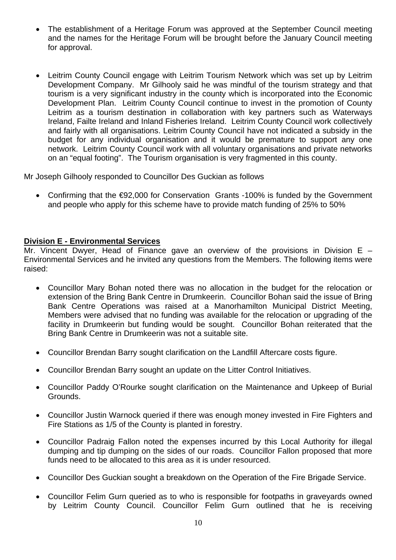- The establishment of a Heritage Forum was approved at the September Council meeting and the names for the Heritage Forum will be brought before the January Council meeting for approval.
- Leitrim County Council engage with Leitrim Tourism Network which was set up by Leitrim Development Company. Mr Gilhooly said he was mindful of the tourism strategy and that tourism is a very significant industry in the county which is incorporated into the Economic Development Plan. Leitrim County Council continue to invest in the promotion of County Leitrim as a tourism destination in collaboration with key partners such as Waterways Ireland, Failte Ireland and Inland Fisheries Ireland. Leitrim County Council work collectively and fairly with all organisations. Leitrim County Council have not indicated a subsidy in the budget for any individual organisation and it would be premature to support any one network. Leitrim County Council work with all voluntary organisations and private networks on an "equal footing". The Tourism organisation is very fragmented in this county.

Mr Joseph Gilhooly responded to Councillor Des Guckian as follows

• Confirming that the €92,000 for Conservation Grants -100% is funded by the Government and people who apply for this scheme have to provide match funding of 25% to 50%

### **Division E - Environmental Services**

Mr. Vincent Dwyer, Head of Finance gave an overview of the provisions in Division  $E -$ Environmental Services and he invited any questions from the Members. The following items were raised:

- Councillor Mary Bohan noted there was no allocation in the budget for the relocation or extension of the Bring Bank Centre in Drumkeerin. Councillor Bohan said the issue of Bring Bank Centre Operations was raised at a Manorhamilton Municipal District Meeting, Members were advised that no funding was available for the relocation or upgrading of the facility in Drumkeerin but funding would be sought. Councillor Bohan reiterated that the Bring Bank Centre in Drumkeerin was not a suitable site.
- Councillor Brendan Barry sought clarification on the Landfill Aftercare costs figure.
- Councillor Brendan Barry sought an update on the Litter Control Initiatives.
- Councillor Paddy O'Rourke sought clarification on the Maintenance and Upkeep of Burial Grounds.
- Councillor Justin Warnock queried if there was enough money invested in Fire Fighters and Fire Stations as 1/5 of the County is planted in forestry.
- Councillor Padraig Fallon noted the expenses incurred by this Local Authority for illegal dumping and tip dumping on the sides of our roads. Councillor Fallon proposed that more funds need to be allocated to this area as it is under resourced.
- Councillor Des Guckian sought a breakdown on the Operation of the Fire Brigade Service.
- Councillor Felim Gurn queried as to who is responsible for footpaths in graveyards owned by Leitrim County Council. Councillor Felim Gurn outlined that he is receiving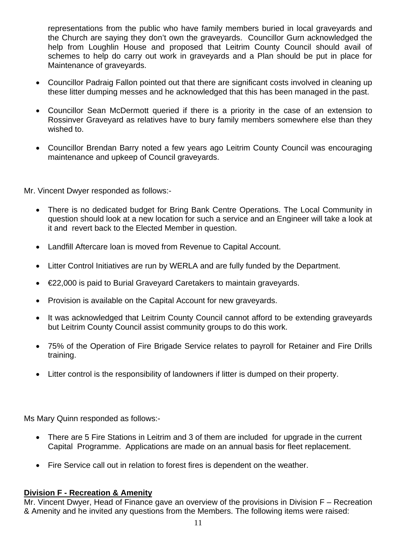representations from the public who have family members buried in local graveyards and the Church are saying they don't own the graveyards. Councillor Gurn acknowledged the help from Loughlin House and proposed that Leitrim County Council should avail of schemes to help do carry out work in graveyards and a Plan should be put in place for Maintenance of graveyards.

- Councillor Padraig Fallon pointed out that there are significant costs involved in cleaning up these litter dumping messes and he acknowledged that this has been managed in the past.
- Councillor Sean McDermott queried if there is a priority in the case of an extension to Rossinver Graveyard as relatives have to bury family members somewhere else than they wished to.
- Councillor Brendan Barry noted a few years ago Leitrim County Council was encouraging maintenance and upkeep of Council graveyards.

Mr. Vincent Dwyer responded as follows:-

- There is no dedicated budget for Bring Bank Centre Operations. The Local Community in question should look at a new location for such a service and an Engineer will take a look at it and revert back to the Elected Member in question.
- Landfill Aftercare loan is moved from Revenue to Capital Account.
- Litter Control Initiatives are run by WERLA and are fully funded by the Department.
- €22,000 is paid to Burial Graveyard Caretakers to maintain graveyards.
- Provision is available on the Capital Account for new graveyards.
- It was acknowledged that Leitrim County Council cannot afford to be extending graveyards but Leitrim County Council assist community groups to do this work.
- 75% of the Operation of Fire Brigade Service relates to payroll for Retainer and Fire Drills training.
- Litter control is the responsibility of landowners if litter is dumped on their property.

Ms Mary Quinn responded as follows:-

- There are 5 Fire Stations in Leitrim and 3 of them are included for upgrade in the current Capital Programme. Applications are made on an annual basis for fleet replacement.
- Fire Service call out in relation to forest fires is dependent on the weather.

### **Division F - Recreation & Amenity**

Mr. Vincent Dwyer, Head of Finance gave an overview of the provisions in Division F – Recreation & Amenity and he invited any questions from the Members. The following items were raised: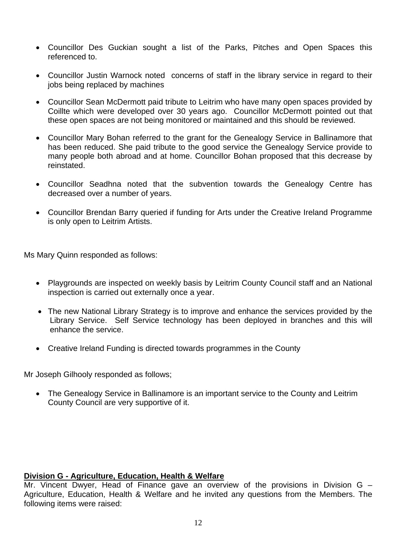- Councillor Des Guckian sought a list of the Parks, Pitches and Open Spaces this referenced to.
- Councillor Justin Warnock noted concerns of staff in the library service in regard to their jobs being replaced by machines
- Councillor Sean McDermott paid tribute to Leitrim who have many open spaces provided by Coillte which were developed over 30 years ago. Councillor McDermott pointed out that these open spaces are not being monitored or maintained and this should be reviewed.
- Councillor Mary Bohan referred to the grant for the Genealogy Service in Ballinamore that has been reduced. She paid tribute to the good service the Genealogy Service provide to many people both abroad and at home. Councillor Bohan proposed that this decrease by reinstated.
- Councillor Seadhna noted that the subvention towards the Genealogy Centre has decreased over a number of years.
- Councillor Brendan Barry queried if funding for Arts under the Creative Ireland Programme is only open to Leitrim Artists.

Ms Mary Quinn responded as follows:

- Playgrounds are inspected on weekly basis by Leitrim County Council staff and an National inspection is carried out externally once a year.
- The new National Library Strategy is to improve and enhance the services provided by the Library Service. Self Service technology has been deployed in branches and this will enhance the service.
- Creative Ireland Funding is directed towards programmes in the County

Mr Joseph Gilhooly responded as follows;

• The Genealogy Service in Ballinamore is an important service to the County and Leitrim County Council are very supportive of it.

#### **Division G - Agriculture, Education, Health & Welfare**

Mr. Vincent Dwyer, Head of Finance gave an overview of the provisions in Division G – Agriculture, Education, Health & Welfare and he invited any questions from the Members. The following items were raised: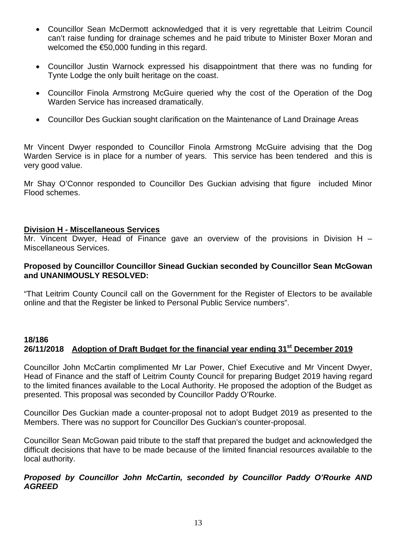- Councillor Sean McDermott acknowledged that it is very regrettable that Leitrim Council can't raise funding for drainage schemes and he paid tribute to Minister Boxer Moran and welcomed the €50,000 funding in this regard.
- Councillor Justin Warnock expressed his disappointment that there was no funding for Tynte Lodge the only built heritage on the coast.
- Councillor Finola Armstrong McGuire queried why the cost of the Operation of the Dog Warden Service has increased dramatically.
- Councillor Des Guckian sought clarification on the Maintenance of Land Drainage Areas

Mr Vincent Dwyer responded to Councillor Finola Armstrong McGuire advising that the Dog Warden Service is in place for a number of years. This service has been tendered and this is very good value.

Mr Shay O'Connor responded to Councillor Des Guckian advising that figure included Minor Flood schemes.

#### **Division H - Miscellaneous Services**

Mr. Vincent Dwyer, Head of Finance gave an overview of the provisions in Division H – Miscellaneous Services.

#### **Proposed by Councillor Councillor Sinead Guckian seconded by Councillor Sean McGowan and UNANIMOUSLY RESOLVED:**

"That Leitrim County Council call on the Government for the Register of Electors to be available online and that the Register be linked to Personal Public Service numbers".

### **18/186 26/11/2018 Adoption of Draft Budget for the financial year ending 31st December 2019**

Councillor John McCartin complimented Mr Lar Power, Chief Executive and Mr Vincent Dwyer, Head of Finance and the staff of Leitrim County Council for preparing Budget 2019 having regard to the limited finances available to the Local Authority. He proposed the adoption of the Budget as presented. This proposal was seconded by Councillor Paddy O'Rourke.

Councillor Des Guckian made a counter-proposal not to adopt Budget 2019 as presented to the Members. There was no support for Councillor Des Guckian's counter-proposal.

Councillor Sean McGowan paid tribute to the staff that prepared the budget and acknowledged the difficult decisions that have to be made because of the limited financial resources available to the local authority.

#### *Proposed by Councillor John McCartin, seconded by Councillor Paddy O'Rourke AND AGREED*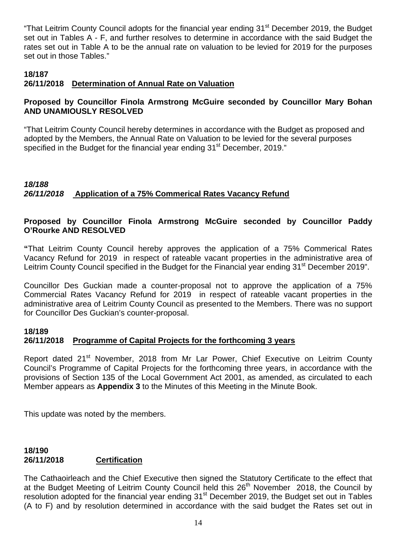"That Leitrim County Council adopts for the financial year ending 31<sup>st</sup> December 2019, the Budget set out in Tables A - F, and further resolves to determine in accordance with the said Budget the rates set out in Table A to be the annual rate on valuation to be levied for 2019 for the purposes set out in those Tables."

### **18/187**

## **26/11/2018 Determination of Annual Rate on Valuation**

### **Proposed by Councillor Finola Armstrong McGuire seconded by Councillor Mary Bohan AND UNAMIOUSLY RESOLVED**

"That Leitrim County Council hereby determines in accordance with the Budget as proposed and adopted by the Members, the Annual Rate on Valuation to be levied for the several purposes specified in the Budget for the financial year ending 31<sup>st</sup> December, 2019."

# *18/188 26/11/2018* **Application of a 75% Commerical Rates Vacancy Refund**

### **Proposed by Councillor Finola Armstrong McGuire seconded by Councillor Paddy O'Rourke AND RESOLVED**

**"**That Leitrim County Council hereby approves the application of a 75% Commerical Rates Vacancy Refund for 2019 in respect of rateable vacant properties in the administrative area of Leitrim County Council specified in the Budget for the Financial year ending 31<sup>st</sup> December 2019".

Councillor Des Guckian made a counter-proposal not to approve the application of a 75% Commercial Rates Vacancy Refund for 2019 in respect of rateable vacant properties in the administrative area of Leitrim County Council as presented to the Members. There was no support for Councillor Des Guckian's counter-proposal.

#### **18/189**

### **26/11/2018 Programme of Capital Projects for the forthcoming 3 years**

Report dated 21<sup>st</sup> November, 2018 from Mr Lar Power, Chief Executive on Leitrim County Council's Programme of Capital Projects for the forthcoming three years, in accordance with the provisions of Section 135 of the Local Government Act 2001, as amended, as circulated to each Member appears as **Appendix 3** to the Minutes of this Meeting in the Minute Book.

This update was noted by the members.

#### **18/190 26/11/2018 Certification**

The Cathaoirleach and the Chief Executive then signed the Statutory Certificate to the effect that at the Budget Meeting of Leitrim County Council held this  $26<sup>th</sup>$  November 2018, the Council by resolution adopted for the financial year ending 31<sup>st</sup> December 2019, the Budget set out in Tables (A to F) and by resolution determined in accordance with the said budget the Rates set out in